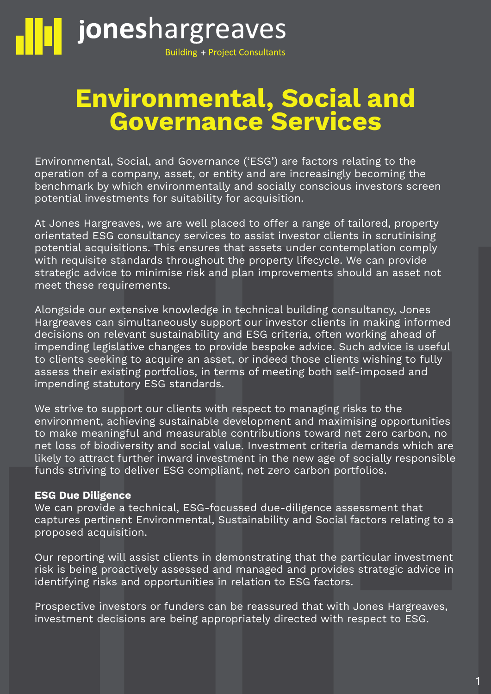

# Environmental, Social and Governance Services

Environmental, Social, and Governance ('ESG') are factors relating to the operation of a company, asset, or entity and are increasingly becoming the benchmark by which environmentally and socially conscious investors screen potential investments for suitability for acquisition.

At Jones Hargreaves, we are well placed to offer a range of tailored, property orientated ESG consultancy services to assist investor clients in scrutinising potential acquisitions. This ensures that assets under contemplation comply with requisite standards throughout the property lifecycle. We can provide strategic advice to minimise risk and plan improvements should an asset not meet these requirements.

Alongside our extensive knowledge in technical building consultancy, Jones Hargreaves can simultaneously support our investor clients in making informed decisions on relevant sustainability and ESG criteria, often working ahead of impending legislative changes to provide bespoke advice. Such advice is useful to clients seeking to acquire an asset, or indeed those clients wishing to fully assess their existing portfolios, in terms of meeting both self-imposed and impending statutory ESG standards.

We strive to support our clients with respect to managing risks to the environment, achieving sustainable development and maximising opportunities to make meaningful and measurable contributions toward net zero carbon, no net loss of biodiversity and social value. Investment criteria demands which are likely to attract further inward investment in the new age of socially responsible funds striving to deliver ESG compliant, net zero carbon portfolios.

## ESG Due Diligence

We can provide a technical, ESG-focussed due-diligence assessment that captures pertinent Environmental, Sustainability and Social factors relating to a proposed acquisition.

Our reporting will assist clients in demonstrating that the particular investment risk is being proactively assessed and managed and provides strategic advice in identifying risks and opportunities in relation to ESG factors.

Prospective investors or funders can be reassured that with Jones Hargreaves, investment decisions are being appropriately directed with respect to ESG.

1